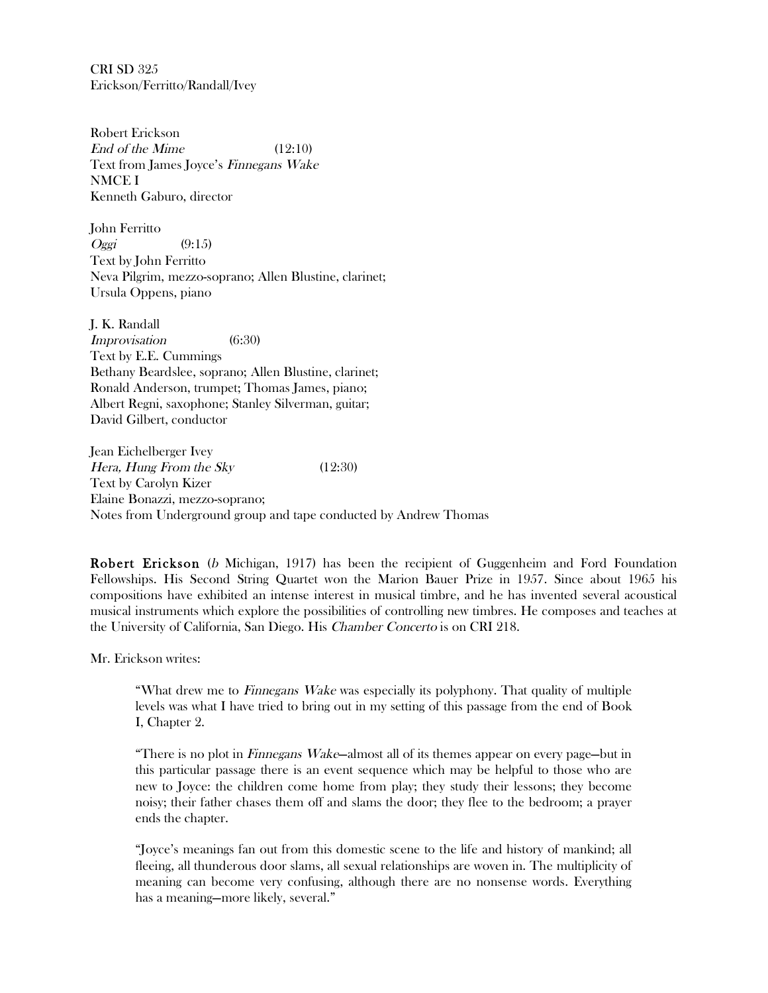CRI SD 325 Erickson/Ferritto/Randall/Ivey

Robert Erickson  $End of the Mime$  (12:10) Text from James Joyce's Finnegans Wake NMCE I Kenneth Gaburo, director

John Ferritto  $Oggi$  (9:15) Text by John Ferritto Neva Pilgrim, mezzo-soprano; Allen Blustine, clarinet; Ursula Oppens, piano

J. K. Randall Improvisation (6:30) Text by E.E. Cummings Bethany Beardslee, soprano; Allen Blustine, clarinet; Ronald Anderson, trumpet; Thomas James, piano; Albert Regni, saxophone; Stanley Silverman, guitar; David Gilbert, conductor

Jean Eichelberger Ivey Hera, Hung From the Sky (12:30) Text by Carolyn Kizer Elaine Bonazzi, mezzo-soprano; Notes from Underground group and tape conducted by Andrew Thomas

Robert Erickson (b Michigan, 1917) has been the recipient of Guggenheim and Ford Foundation Fellowships. His Second String Quartet won the Marion Bauer Prize in 1957. Since about 1965 his compositions have exhibited an intense interest in musical timbre, and he has invented several acoustical musical instruments which explore the possibilities of controlling new timbres. He composes and teaches at the University of California, San Diego. His Chamber Concerto is on CRI 218.

Mr. Erickson writes:

"What drew me to Finnegans Wake was especially its polyphony. That quality of multiple levels was what I have tried to bring out in my setting of this passage from the end of Book I, Chapter 2.

"There is no plot in Finnegans Wake—almost all of its themes appear on every page—but in this particular passage there is an event sequence which may be helpful to those who are new to Joyce: the children come home from play; they study their lessons; they become noisy; their father chases them off and slams the door; they flee to the bedroom; a prayer ends the chapter.

"Joyce's meanings fan out from this domestic scene to the life and history of mankind; all fleeing, all thunderous door slams, all sexual relationships are woven in. The multiplicity of meaning can become very confusing, although there are no nonsense words. Everything has a meaning—more likely, several."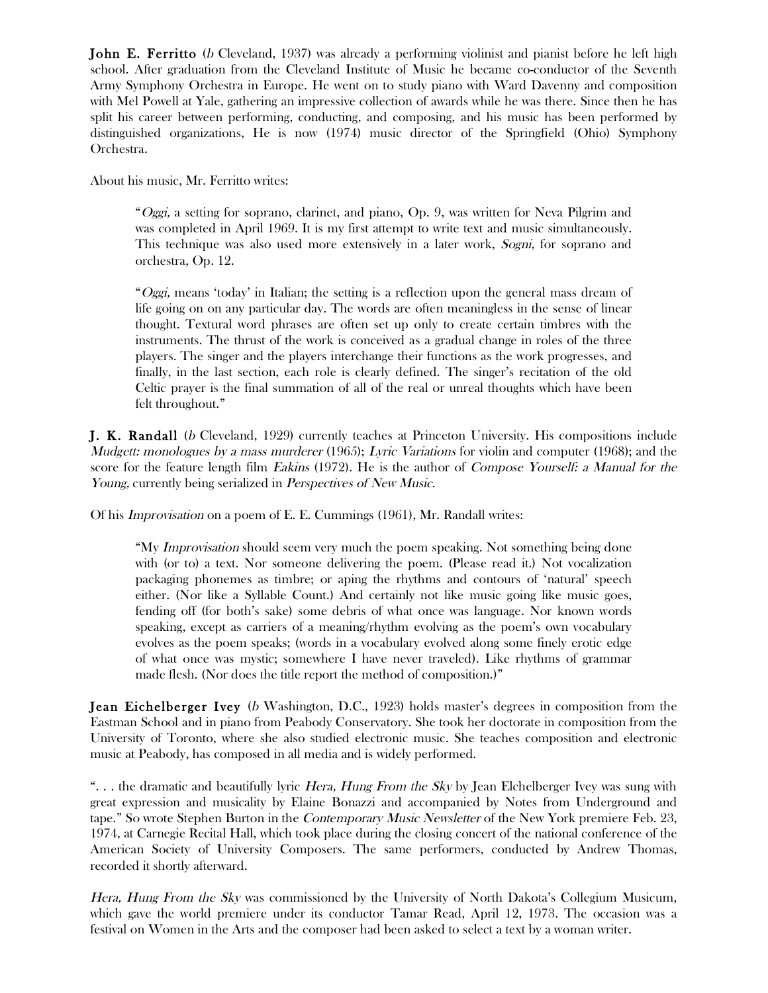**John E. Ferritto** (b Cleveland, 1937) was already a performing violinist and pianist before he left high school. After graduation from the Cleveland Institute of Music he became co-conductor of the Seventh Army Symphony Orchestra in Europe. He went on to study piano with Ward Davenny and composition with Mel Powell at Yale, gathering an impressive collection of awards while he was there. Since then he has split his career between performing, conducting, and composing, and his music has been performed by distinguished organizations, He is now (1974) music director of the Springfield (Ohio) Symphony Orchestra.

About his music, Mr. Ferritto writes:

"Oggi, a setting for soprano, clarinet, and piano, Op. 9, was written for Neva Pilgrim and was completed in April 1969. It is my first attempt to write text and music simultaneously. This technique was also used more extensively in a later work, Sogni, for soprano and orchestra, Op. 12.

"Oggi, means 'today' in Italian; the setting is a reflection upon the general mass dream of life going on on any particular day. The words are often meaningless in the sense of linear thought. Textural word phrases are often set up only to create certain timbres with the instruments. The thrust of the work is conceived as a gradual change in roles of the three players. The singer and the players interchange their functions as the work progresses, and finally, in the last section, each role is clearly defined. The singer's recitation of the old Celtic prayer is the final summation of all of the real or unreal thoughts which have been felt throughout."

J. K. Randall (b Cleveland, 1929) currently teaches at Princeton University. His compositions include Mudgett: monologues by a mass murderer (1965); Lyric Variations for violin and computer (1968); and the score for the feature length film Eakins (1972). He is the author of Compose Yourself: a Manual for the Young, currently being serialized in Perspectives of New Music.

Of his Improvisation on a poem of E. E. Cummings (1961), Mr. Randall writes:

"My *Improvisation* should seem very much the poem speaking. Not something being done with (or to) a text. Nor someone delivering the poem. (Please read it.) Not vocalization packaging phonemes as timbre; or aping the rhythms and contours of 'natural' speech either. (Nor like a Syllable Count.) And certainly not like music going like music goes, fending off (for both's sake) some debris of what once was language. Nor known words speaking, except as carriers of a meaning/rhythm evolving as the poem's own vocabulary evolves as the poem speaks; (words in a vocabulary evolved along some finely erotic edge of what once was mystic; somewhere I have never traveled). Like rhythms of grammar made flesh. (Nor does the title report the method of composition.)"

Jean Eichelberger Ivey (b Washington, D.C., 1923) holds master's degrees in composition from the Eastman School and in piano from Peabody Conservatory. She took her doctorate in composition from the University of Toronto, where she also studied electronic music. She teaches composition and electronic music at Peabody, has composed in all media and is widely performed.

"... the dramatic and beautifully lyric *Hera, Hung From the Sky* by Jean Elchelberger Ivey was sung with great expression and musicality by Elaine Bonazzi and accompanied by Notes from Underground and tape." So wrote Stephen Burton in the Contemporary Music Newsletter of the New York premiere Feb. 23, 1974, at Carnegie Recital Hall, which took place during the closing concert of the national conference of the American Society of University Composers. The same performers, conducted by Andrew Thomas, recorded it shortly afterward.

Hera, Hung From the Sky was commissioned by the University of North Dakota's Collegium Musicum, which gave the world premiere under its conductor Tamar Read, April 12, 1973. The occasion was a festival on Women in the Arts and the composer had been asked to select a text by a woman writer.